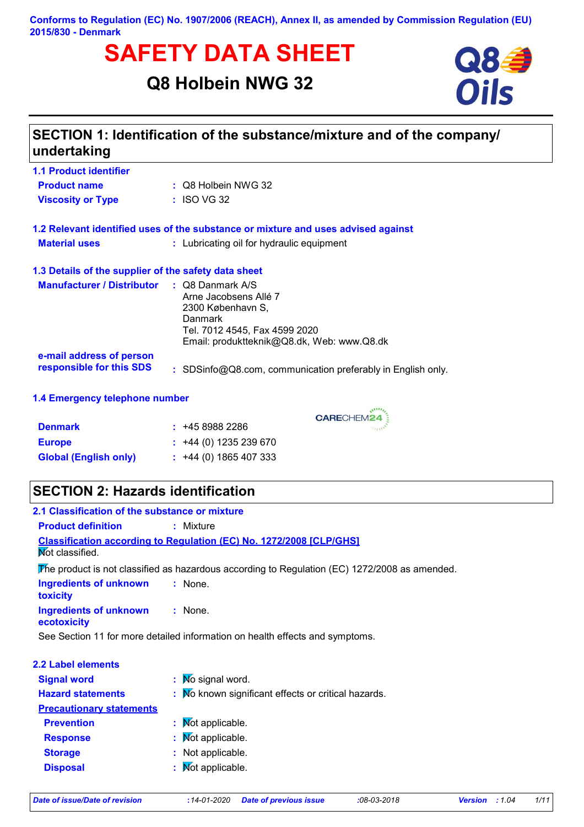**Conforms to Regulation (EC) No. 1907/2006 (REACH), Annex II, as amended by Commission Regulation (EU) 2015/830 - Denmark**

# **SAFETY DATA SHEET**<br>
Q8 Holbein NWG 32<br>
Oils

# **Q8 Holbein NWG 32**



| SECTION 1: Identification of the substance/mixture and of the company/<br>undertaking |                                                                                      |  |  |  |  |
|---------------------------------------------------------------------------------------|--------------------------------------------------------------------------------------|--|--|--|--|
| <b>1.1 Product identifier</b>                                                         |                                                                                      |  |  |  |  |
| <b>Product name</b>                                                                   | : Q8 Holbein NWG 32                                                                  |  |  |  |  |
| <b>Viscosity or Type</b>                                                              | $:$ ISO VG 32                                                                        |  |  |  |  |
| 1.2 Relevant identified uses of the substance or mixture and uses advised against     |                                                                                      |  |  |  |  |
| <b>Material uses</b>                                                                  | : Lubricating oil for hydraulic equipment                                            |  |  |  |  |
|                                                                                       | 1.3 Details of the supplier of the safety data sheet                                 |  |  |  |  |
| <b>Manufacturer / Distributor</b>                                                     | $\therefore$ Q8 Danmark A/S<br>Arne Jacobsens Allé 7<br>2300 København S,<br>Danmark |  |  |  |  |
|                                                                                       | Tel. 7012 4545, Fax 4599 2020<br>Email: produktteknik@Q8.dk, Web: www.Q8.dk          |  |  |  |  |
| e-mail address of person<br>responsible for this SDS                                  | : SDSinfo@Q8.com, communication preferably in English only.                          |  |  |  |  |
| 1.4 Emergency telephone number                                                        |                                                                                      |  |  |  |  |

CARECHEM24

| <b>Denmark</b>               | : 4589882286                |
|------------------------------|-----------------------------|
| <b>Europe</b>                | $\div$ +44 (0) 1235 239 670 |
| <b>Global (English only)</b> | $\div$ +44 (0) 1865 407 333 |

# **SECTION 2: Hazards identification**

| 2.1 Classification of the substance or mixture                               |                                                                                               |  |  |  |
|------------------------------------------------------------------------------|-----------------------------------------------------------------------------------------------|--|--|--|
| <b>Product definition</b>                                                    | $:$ Mixture                                                                                   |  |  |  |
| Not classified.                                                              | <b>Classification according to Regulation (EC) No. 1272/2008 [CLP/GHS]</b>                    |  |  |  |
|                                                                              | The product is not classified as hazardous according to Regulation (EC) 1272/2008 as amended. |  |  |  |
| <b>Ingredients of unknown</b><br>toxicity                                    | $:$ None.                                                                                     |  |  |  |
| Ingredients of unknown<br>ecotoxicity                                        | $:$ None.                                                                                     |  |  |  |
| See Section 11 for more detailed information on health effects and symptoms. |                                                                                               |  |  |  |
| 2.2 Label elements                                                           |                                                                                               |  |  |  |
| <b>Signal word</b>                                                           | $\therefore$ Mo signal word.                                                                  |  |  |  |
| <b>Hazard statements</b>                                                     | : No known significant effects or critical hazards.                                           |  |  |  |
| <b>Precautionary statements</b>                                              |                                                                                               |  |  |  |
| <b>Prevention</b>                                                            | : Mot applicable.                                                                             |  |  |  |
| <b>Response</b>                                                              | : Mot applicable.                                                                             |  |  |  |
| <b>Storage</b>                                                               | : Not applicable.                                                                             |  |  |  |

**Disposal :**

 $\mathbf \cdot \mathbf$  Mot applicable.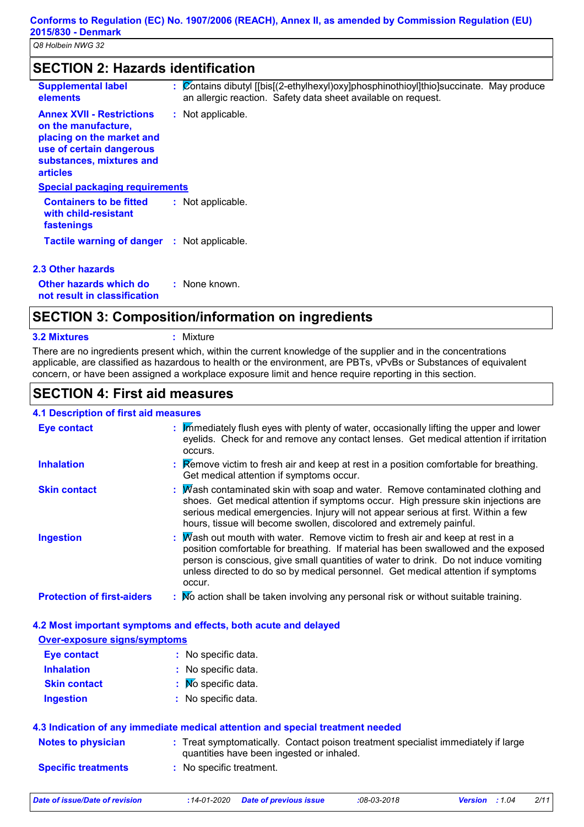| <b>SECTION 2: Hazards identification</b>                                                                                                                        |                                                                                                                                                         |  |  |
|-----------------------------------------------------------------------------------------------------------------------------------------------------------------|---------------------------------------------------------------------------------------------------------------------------------------------------------|--|--|
| <b>Supplemental label</b><br>elements                                                                                                                           | : Contains dibutyl [[bis](2-ethylhexyl)oxy]phosphinothioyl]thio]succinate. May produce<br>an allergic reaction. Safety data sheet available on request. |  |  |
| <b>Annex XVII - Restrictions</b><br>on the manufacture,<br>placing on the market and<br>use of certain dangerous<br>substances, mixtures and<br><b>articles</b> | : Not applicable.                                                                                                                                       |  |  |
| <b>Special packaging requirements</b>                                                                                                                           |                                                                                                                                                         |  |  |
| <b>Containers to be fitted</b><br>with child-resistant<br>fastenings                                                                                            | : Not applicable.                                                                                                                                       |  |  |
| <b>Tactile warning of danger : Not applicable.</b>                                                                                                              |                                                                                                                                                         |  |  |
| 2.3 Other hazards                                                                                                                                               |                                                                                                                                                         |  |  |
| Other hazards which do                                                                                                                                          | : None known.                                                                                                                                           |  |  |

**not result in classification**

# **SECTION 3: Composition/information on ingredients**

| <b>3.2 Mixtures</b> |
|---------------------|
|                     |

**3.2 Mixtures :** Mixture

There are no ingredients present which, within the current knowledge of the supplier and in the concentrations applicable, are classified as hazardous to health or the environment, are PBTs, vPvBs or Substances of equivalent concern, or have been assigned a workplace exposure limit and hence require reporting in this section.

# **SECTION 4: First aid measures**

### **4.1 Description of first aid measures**

| <b>Eye contact</b>                | : Immediately flush eyes with plenty of water, occasionally lifting the upper and lower<br>eyelids. Check for and remove any contact lenses. Get medical attention if irritation<br>occurs.                                                                                                                                                                  |
|-----------------------------------|--------------------------------------------------------------------------------------------------------------------------------------------------------------------------------------------------------------------------------------------------------------------------------------------------------------------------------------------------------------|
| <b>Inhalation</b>                 | <b>Example 2</b> : <b>Remove victim to fresh air and keep at rest in a position comfortable for breathing.</b><br>Get medical attention if symptoms occur.                                                                                                                                                                                                   |
| <b>Skin contact</b>               | $\therefore$ Wash contaminated skin with soap and water. Remove contaminated clothing and<br>shoes. Get medical attention if symptoms occur. High pressure skin injections are<br>serious medical emergencies. Injury will not appear serious at first. Within a few<br>hours, tissue will become swollen, discolored and extremely painful.                 |
| <b>Ingestion</b>                  | : $M$ ash out mouth with water. Remove victim to fresh air and keep at rest in a<br>position comfortable for breathing. If material has been swallowed and the exposed<br>person is conscious, give small quantities of water to drink. Do not induce vomiting<br>unless directed to do so by medical personnel. Get medical attention if symptoms<br>occur. |
| <b>Protection of first-aiders</b> | : No action shall be taken involving any personal risk or without suitable training.                                                                                                                                                                                                                                                                         |

### **4.2 Most important symptoms and effects, both acute and delayed**

### **Over-exposure signs/symptoms**

| <b>Eye contact</b>  | : No specific data.         |
|---------------------|-----------------------------|
| <b>Inhalation</b>   | : No specific data.         |
| <b>Skin contact</b> | $\mathbf{N}$ Specific data. |
| <b>Ingestion</b>    | : No specific data.         |

### **4.3 Indication of any immediate medical attention and special treatment needed**

| <b>Notes to physician</b>  | : Treat symptomatically. Contact poison treatment specialist immediately if large<br>quantities have been ingested or inhaled. |
|----------------------------|--------------------------------------------------------------------------------------------------------------------------------|
| <b>Specific treatments</b> | : No specific treatment.                                                                                                       |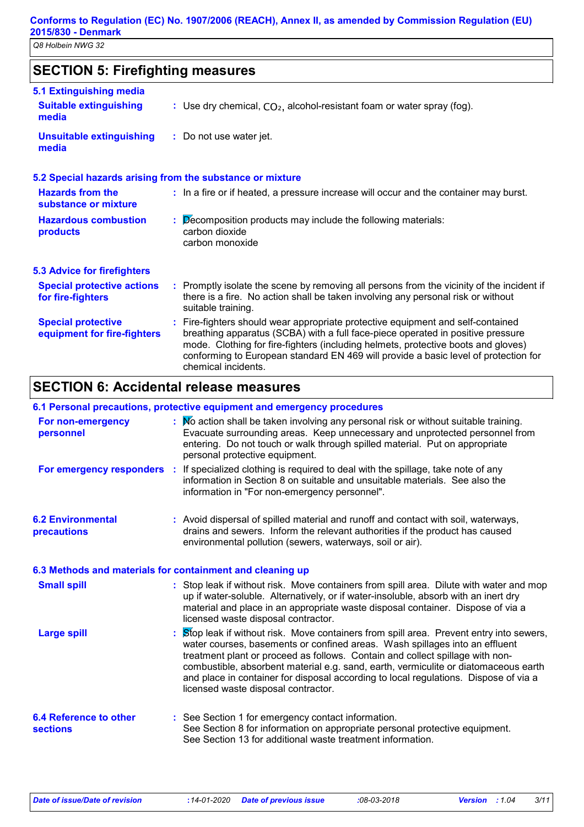# **SECTION 5: Firefighting measures**

| 5.1 Extinguishing media                                  |                                                                                                                                                                                                                                                                                                                                                                       |
|----------------------------------------------------------|-----------------------------------------------------------------------------------------------------------------------------------------------------------------------------------------------------------------------------------------------------------------------------------------------------------------------------------------------------------------------|
| <b>Suitable extinguishing</b><br>media                   | : Use dry chemical, $CO2$ , alcohol-resistant foam or water spray (fog).                                                                                                                                                                                                                                                                                              |
| <b>Unsuitable extinguishing</b><br>media                 | : Do not use water jet.                                                                                                                                                                                                                                                                                                                                               |
|                                                          | 5.2 Special hazards arising from the substance or mixture                                                                                                                                                                                                                                                                                                             |
| <b>Hazards from the</b><br>substance or mixture          | : In a fire or if heated, a pressure increase will occur and the container may burst.                                                                                                                                                                                                                                                                                 |
| <b>Hazardous combustion</b><br>products                  | $\therefore$ Decomposition products may include the following materials:<br>carbon dioxide<br>carbon monoxide                                                                                                                                                                                                                                                         |
| <b>5.3 Advice for firefighters</b>                       |                                                                                                                                                                                                                                                                                                                                                                       |
| <b>Special protective actions</b><br>for fire-fighters   | : Promptly isolate the scene by removing all persons from the vicinity of the incident if<br>there is a fire. No action shall be taken involving any personal risk or without<br>suitable training.                                                                                                                                                                   |
| <b>Special protective</b><br>equipment for fire-fighters | : Fire-fighters should wear appropriate protective equipment and self-contained<br>breathing apparatus (SCBA) with a full face-piece operated in positive pressure<br>mode. Clothing for fire-fighters (including helmets, protective boots and gloves)<br>conforming to European standard EN 469 will provide a basic level of protection for<br>chemical incidents. |

# **SECTION 6: Accidental release measures**

### **6.1 Personal precautions, protective equipment and emergency procedures**

| For non-emergency<br>personnel                            | : No action shall be taken involving any personal risk or without suitable training.<br>Evacuate surrounding areas. Keep unnecessary and unprotected personnel from<br>entering. Do not touch or walk through spilled material. Put on appropriate<br>personal protective equipment.                                                                                                                                                                                         |
|-----------------------------------------------------------|------------------------------------------------------------------------------------------------------------------------------------------------------------------------------------------------------------------------------------------------------------------------------------------------------------------------------------------------------------------------------------------------------------------------------------------------------------------------------|
|                                                           | For emergency responders : If specialized clothing is required to deal with the spillage, take note of any<br>information in Section 8 on suitable and unsuitable materials. See also the<br>information in "For non-emergency personnel".                                                                                                                                                                                                                                   |
| <b>6.2 Environmental</b><br>precautions                   | : Avoid dispersal of spilled material and runoff and contact with soil, waterways,<br>drains and sewers. Inform the relevant authorities if the product has caused<br>environmental pollution (sewers, waterways, soil or air).                                                                                                                                                                                                                                              |
| 6.3 Methods and materials for containment and cleaning up |                                                                                                                                                                                                                                                                                                                                                                                                                                                                              |
| <b>Small spill</b>                                        | : Stop leak if without risk. Move containers from spill area. Dilute with water and mop<br>up if water-soluble. Alternatively, or if water-insoluble, absorb with an inert dry<br>material and place in an appropriate waste disposal container. Dispose of via a<br>licensed waste disposal contractor.                                                                                                                                                                     |
| <b>Large spill</b>                                        | Stop leak if without risk. Move containers from spill area. Prevent entry into sewers,<br>water courses, basements or confined areas. Wash spillages into an effluent<br>treatment plant or proceed as follows. Contain and collect spillage with non-<br>combustible, absorbent material e.g. sand, earth, vermiculite or diatomaceous earth<br>and place in container for disposal according to local regulations. Dispose of via a<br>licensed waste disposal contractor. |
| <b>6.4 Reference to other</b><br><b>sections</b>          | : See Section 1 for emergency contact information.<br>See Section 8 for information on appropriate personal protective equipment.<br>See Section 13 for additional waste treatment information.                                                                                                                                                                                                                                                                              |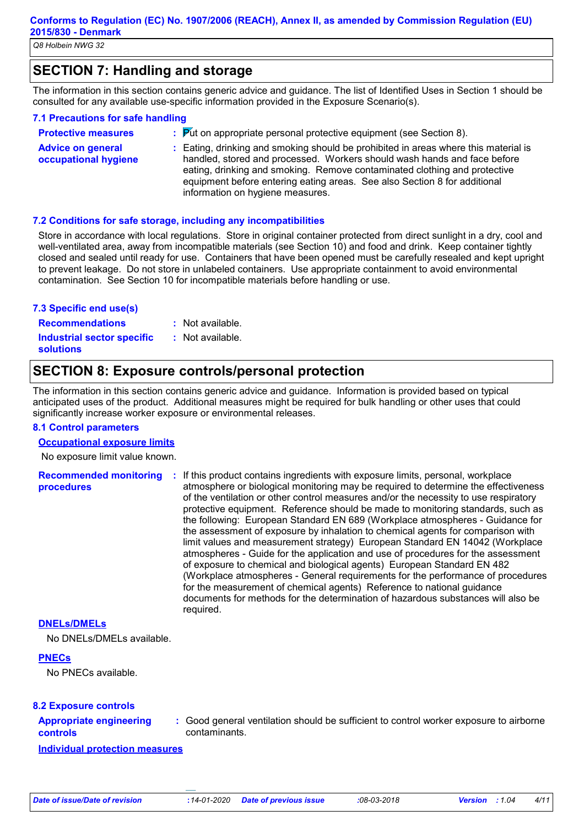# **SECTION 7: Handling and storage**

The information in this section contains generic advice and guidance. The list of Identified Uses in Section 1 should be consulted for any available use-specific information provided in the Exposure Scenario(s).

### **7.1 Precautions for safe handling**

**Protective measures : Advice on general occupational hygiene :** Eating, drinking and smoking should be prohibited in areas where this material is  $\cdot$  Put on appropriate personal protective equipment (see Section 8). handled, stored and processed. Workers should wash hands and face before eating, drinking and smoking. Remove contaminated clothing and protective

information on hygiene measures.

### **7.2 Conditions for safe storage, including any incompatibilities**

Store in accordance with local regulations. Store in original container protected from direct sunlight in a dry, cool and well-ventilated area, away from incompatible materials (see Section 10) and food and drink. Keep container tightly closed and sealed until ready for use. Containers that have been opened must be carefully resealed and kept upright to prevent leakage. Do not store in unlabeled containers. Use appropriate containment to avoid environmental contamination. See Section 10 for incompatible materials before handling or use.

equipment before entering eating areas. See also Section 8 for additional

### **7.3 Specific end use(s)**

**Recommendations : Industrial sector specific : solutions**

- : Not available.
- : Not available.

### **SECTION 8: Exposure controls/personal protection**

The information in this section contains generic advice and guidance. Information is provided based on typical anticipated uses of the product. Additional measures might be required for bulk handling or other uses that could significantly increase worker exposure or environmental releases.

### **8.1 Control parameters**

### **Occupational exposure limits**

No exposure limit value known.

**Recommended monitoring procedures :** If this product contains ingredients with exposure limits, personal, workplace atmosphere or biological monitoring may be required to determine the effectiveness of the ventilation or other control measures and/or the necessity to use respiratory protective equipment. Reference should be made to monitoring standards, such as the following: European Standard EN 689 (Workplace atmospheres - Guidance for the assessment of exposure by inhalation to chemical agents for comparison with limit values and measurement strategy) European Standard EN 14042 (Workplace atmospheres - Guide for the application and use of procedures for the assessment of exposure to chemical and biological agents) European Standard EN 482 (Workplace atmospheres - General requirements for the performance of procedures for the measurement of chemical agents) Reference to national guidance documents for methods for the determination of hazardous substances will also be required.

### **DNELs/DMELs**

No DNELs/DMELs available.

### **PNECs**

No PNECs available.

### **8.2 Exposure controls**

#### **Appropriate engineering controls**

**:** Good general ventilation should be sufficient to control worker exposure to airborne contaminants.

**Individual protection measures**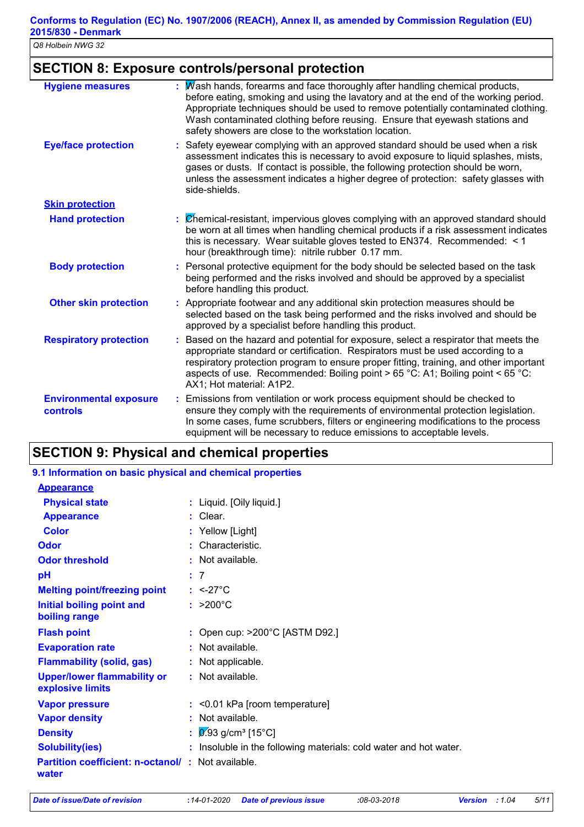# **SECTION 8: Exposure controls/personal protection**

| <b>Hygiene measures</b>                   | Wash hands, forearms and face thoroughly after handling chemical products,<br>before eating, smoking and using the lavatory and at the end of the working period.<br>Appropriate techniques should be used to remove potentially contaminated clothing.<br>Wash contaminated clothing before reusing. Ensure that eyewash stations and<br>safety showers are close to the workstation location. |  |
|-------------------------------------------|-------------------------------------------------------------------------------------------------------------------------------------------------------------------------------------------------------------------------------------------------------------------------------------------------------------------------------------------------------------------------------------------------|--|
| <b>Eye/face protection</b>                | Safety eyewear complying with an approved standard should be used when a risk<br>assessment indicates this is necessary to avoid exposure to liquid splashes, mists,<br>gases or dusts. If contact is possible, the following protection should be worn,<br>unless the assessment indicates a higher degree of protection: safety glasses with<br>side-shields.                                 |  |
| <b>Skin protection</b>                    |                                                                                                                                                                                                                                                                                                                                                                                                 |  |
| <b>Hand protection</b>                    | Chemical-resistant, impervious gloves complying with an approved standard should<br>be worn at all times when handling chemical products if a risk assessment indicates<br>this is necessary. Wear suitable gloves tested to EN374. Recommended: < 1<br>hour (breakthrough time): nitrile rubber 0.17 mm.                                                                                       |  |
| <b>Body protection</b>                    | Personal protective equipment for the body should be selected based on the task<br>being performed and the risks involved and should be approved by a specialist<br>before handling this product.                                                                                                                                                                                               |  |
| <b>Other skin protection</b>              | Appropriate footwear and any additional skin protection measures should be<br>selected based on the task being performed and the risks involved and should be<br>approved by a specialist before handling this product.                                                                                                                                                                         |  |
| <b>Respiratory protection</b>             | Based on the hazard and potential for exposure, select a respirator that meets the<br>÷.<br>appropriate standard or certification. Respirators must be used according to a<br>respiratory protection program to ensure proper fitting, training, and other important<br>aspects of use. Recommended: Boiling point > 65 °C: A1; Boiling point < 65 °C:<br>AX1; Hot material: A1P2.              |  |
| <b>Environmental exposure</b><br>controls | Emissions from ventilation or work process equipment should be checked to<br>ensure they comply with the requirements of environmental protection legislation.<br>In some cases, fume scrubbers, filters or engineering modifications to the process<br>equipment will be necessary to reduce emissions to acceptable levels.                                                                   |  |

# **SECTION 9: Physical and chemical properties**

### **9.1 Information on basic physical and chemical properties**

| <b>Appearance</b>                                                 |                                                                   |
|-------------------------------------------------------------------|-------------------------------------------------------------------|
| <b>Physical state</b>                                             | : Liquid. [Oily liquid.]                                          |
| <b>Appearance</b>                                                 | $:$ Clear.                                                        |
| <b>Color</b>                                                      | : Yellow [Light]                                                  |
| Odor                                                              | : Characteristic.                                                 |
| <b>Odor threshold</b>                                             | : Not available.                                                  |
| pH                                                                | : 7                                                               |
| <b>Melting point/freezing point</b>                               | $: <27^{\circ}$ C                                                 |
| <b>Initial boiling point and</b><br>boiling range                 | $: >200^{\circ}C$                                                 |
| <b>Flash point</b>                                                | : Open cup: $>200^{\circ}$ C [ASTM D92.]                          |
| <b>Evaporation rate</b>                                           | $:$ Not available.                                                |
| <b>Flammability (solid, gas)</b>                                  | : Not applicable.                                                 |
| <b>Upper/lower flammability or</b><br>explosive limits            | : Not available.                                                  |
| <b>Vapor pressure</b>                                             | $:$ <0.01 kPa [room temperature]                                  |
| <b>Vapor density</b>                                              | : Not available.                                                  |
| <b>Density</b>                                                    | : $9.93$ g/cm <sup>3</sup> [15°C]                                 |
| <b>Solubility(ies)</b>                                            | : Insoluble in the following materials: cold water and hot water. |
| <b>Partition coefficient: n-octanol/: Not available.</b><br>water |                                                                   |
|                                                                   |                                                                   |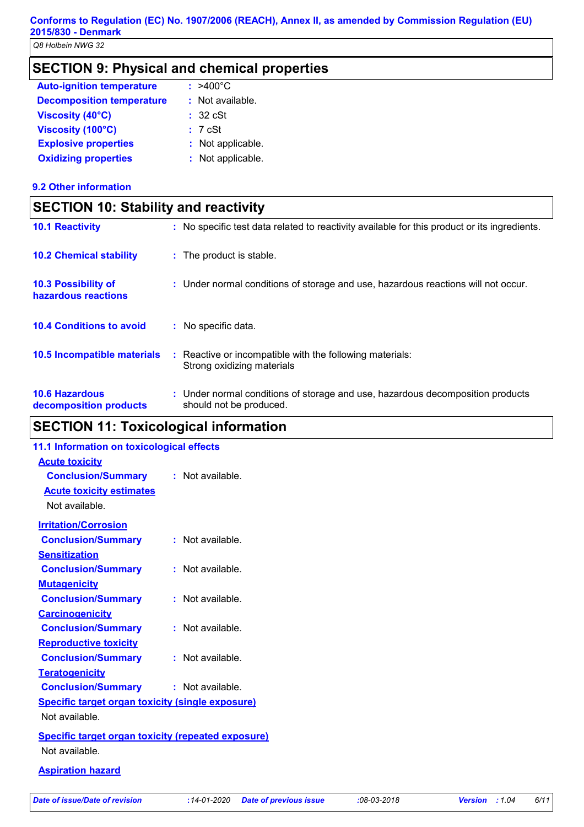# **SECTION 9: Physical and chemical properties**

| <b>Auto-ignition temperature</b> | $: >400^{\circ}$ C |
|----------------------------------|--------------------|
| <b>Decomposition temperature</b> | $:$ Not available. |
| <b>Viscosity (40°C)</b>          | : 32 cSt           |
| Viscosity (100°C)                | : 7cSt             |
| <b>Explosive properties</b>      | : Not applicable.  |
| <b>Oxidizing properties</b>      | : Not applicable.  |

### **9.2 Other information**

| <b>SECTION 10: Stability and reactivity</b>     |                                                                                                           |  |
|-------------------------------------------------|-----------------------------------------------------------------------------------------------------------|--|
| <b>10.1 Reactivity</b>                          | : No specific test data related to reactivity available for this product or its ingredients.              |  |
| <b>10.2 Chemical stability</b>                  | : The product is stable.                                                                                  |  |
| 10.3 Possibility of<br>hazardous reactions      | : Under normal conditions of storage and use, hazardous reactions will not occur.                         |  |
| <b>10.4 Conditions to avoid</b>                 | : No specific data.                                                                                       |  |
| <b>10.5 Incompatible materials</b>              | : Reactive or incompatible with the following materials:<br>Strong oxidizing materials                    |  |
| <b>10.6 Hazardous</b><br>decomposition products | : Under normal conditions of storage and use, hazardous decomposition products<br>should not be produced. |  |

# **SECTION 11: Toxicological information**

| 11.1 Information on toxicological effects                 |                    |
|-----------------------------------------------------------|--------------------|
| <b>Acute toxicity</b>                                     |                    |
| <b>Conclusion/Summary</b>                                 | : Not available.   |
| <b>Acute toxicity estimates</b>                           |                    |
| Not available.                                            |                    |
| <b>Irritation/Corrosion</b>                               |                    |
| <b>Conclusion/Summary</b>                                 | $:$ Not available. |
| <b>Sensitization</b>                                      |                    |
| <b>Conclusion/Summary</b>                                 | $:$ Not available  |
| <b>Mutagenicity</b>                                       |                    |
| <b>Conclusion/Summary</b>                                 | $:$ Not available  |
| <b>Carcinogenicity</b>                                    |                    |
| <b>Conclusion/Summary</b>                                 | $:$ Not available  |
| <b>Reproductive toxicity</b>                              |                    |
| <b>Conclusion/Summary</b>                                 | : Not available.   |
| <b>Teratogenicity</b>                                     |                    |
| <b>Conclusion/Summary</b>                                 | : Not available.   |
| <b>Specific target organ toxicity (single exposure)</b>   |                    |
| Not available                                             |                    |
| <b>Specific target organ toxicity (repeated exposure)</b> |                    |
| Not available.                                            |                    |
|                                                           |                    |

### **Aspiration hazard**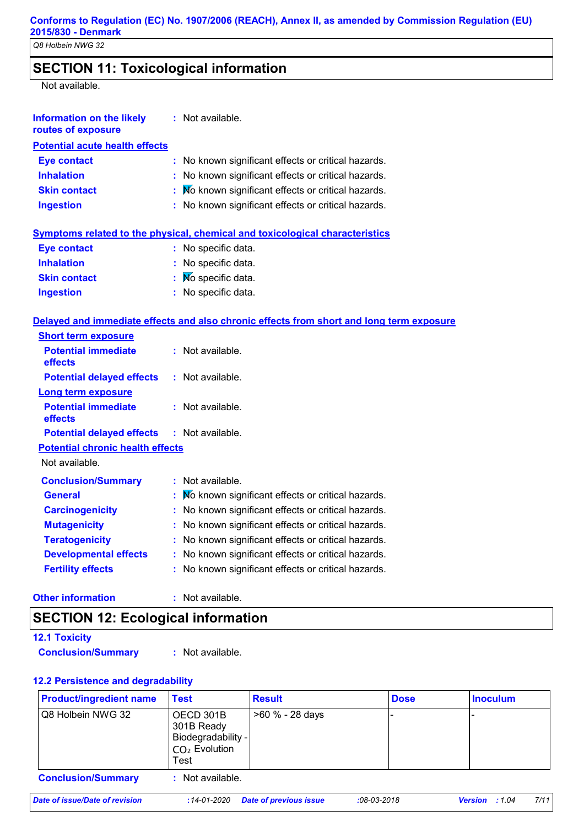# **SECTION 11: Toxicological information**

Not available.

| <b>Information on the likely</b><br>routes of exposure | : Not available.                                                                         |
|--------------------------------------------------------|------------------------------------------------------------------------------------------|
| <b>Potential acute health effects</b>                  |                                                                                          |
| <b>Eye contact</b>                                     | No known significant effects or critical hazards.<br>÷.                                  |
| <b>Inhalation</b>                                      | No known significant effects or critical hazards.                                        |
| <b>Skin contact</b>                                    | No known significant effects or critical hazards.                                        |
| <b>Ingestion</b>                                       | : No known significant effects or critical hazards.                                      |
|                                                        | <b>Symptoms related to the physical, chemical and toxicological characteristics</b>      |
| <b>Eye contact</b>                                     | : No specific data.                                                                      |
| <b>Inhalation</b>                                      | : No specific data.                                                                      |
| <b>Skin contact</b>                                    | No specific data.                                                                        |
| <b>Ingestion</b>                                       | : No specific data.                                                                      |
|                                                        | Delayed and immediate effects and also chronic effects from short and long term exposure |
| <b>Short term exposure</b>                             |                                                                                          |
| <b>Potential immediate</b><br>effects                  | : Not available.                                                                         |
| <b>Potential delayed effects</b>                       | : Not available.                                                                         |
| <b>Long term exposure</b>                              |                                                                                          |
| <b>Potential immediate</b><br>effects                  | : Not available.                                                                         |
| <b>Potential delayed effects</b>                       | $:$ Not available.                                                                       |
| <b>Potential chronic health effects</b>                |                                                                                          |
| Not available.                                         |                                                                                          |
| <b>Conclusion/Summary</b>                              | : Not available.                                                                         |
| <b>General</b>                                         | No known significant effects or critical hazards.                                        |
| <b>Carcinogenicity</b>                                 | No known significant effects or critical hazards.                                        |
| <b>Mutagenicity</b>                                    | No known significant effects or critical hazards.                                        |
| <b>Teratogenicity</b>                                  | No known significant effects or critical hazards.                                        |
| <b>Developmental effects</b>                           | No known significant effects or critical hazards.                                        |
| <b>Fertility effects</b>                               | No known significant effects or critical hazards.                                        |
| <b>Other information</b>                               | : Not available.                                                                         |

# **SECTION 12: Ecological information**

| <b>12.1 Toxicity</b>      |                  |
|---------------------------|------------------|
| <b>Conclusion/Summary</b> | : Not available. |

### **12.2 Persistence and degradability**

| <b>Product/ingredient name</b> | <b>Test</b>                                                                          | <b>Result</b>          | <b>Dose</b>   | <b>Inoculum</b>               |
|--------------------------------|--------------------------------------------------------------------------------------|------------------------|---------------|-------------------------------|
| Q8 Holbein NWG 32              | OECD 301B<br>301B Ready<br>Biodegradability -<br>I CO <sub>2</sub> Evolution<br>Test | >60 % - 28 days        |               |                               |
| <b>Conclusion/Summary</b>      | Not available.                                                                       |                        |               |                               |
| Date of issue/Date of revision | :14-01-2020                                                                          | Date of previous issue | $:08-03-2018$ | 7/11<br><b>Version</b> : 1.04 |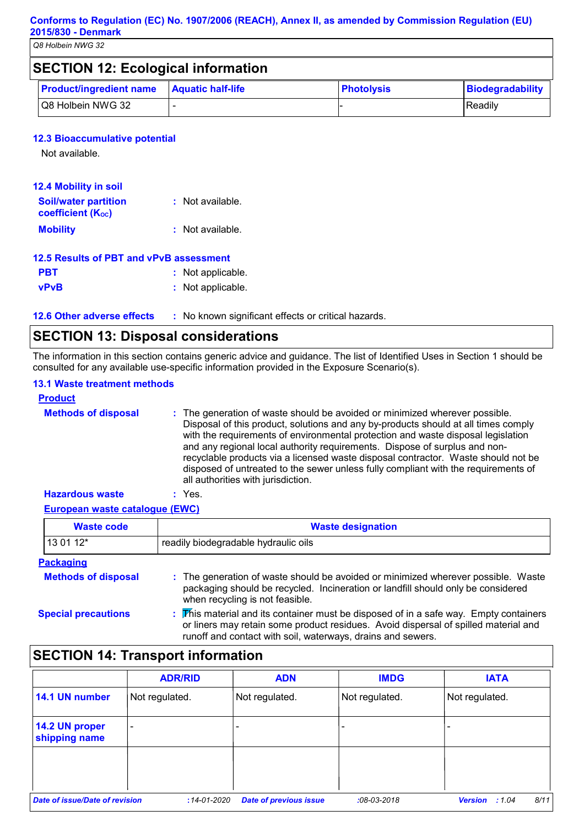| <b>SECTION 12: Ecological information</b> |                          |                   |                  |
|-------------------------------------------|--------------------------|-------------------|------------------|
| <b>Product/ingredient name</b>            | <b>Aquatic half-life</b> | <b>Photolysis</b> | Biodegradability |
| Q8 Holbein NWG 32                         |                          |                   | l Readilv        |

### **12.3 Bioaccumulative potential**

Not available.

| <b>12.4 Mobility in soil</b>                            |                  |
|---------------------------------------------------------|------------------|
| <b>Soil/water partition</b><br><b>coefficient (Koc)</b> | : Not available. |
| <b>Mobility</b>                                         | : Not available. |

| 12.5 Results of PBT and vPvB assessment |                   |  |
|-----------------------------------------|-------------------|--|
| <b>PBT</b>                              | : Not applicable. |  |
| <b>vPvB</b>                             | : Not applicable. |  |

**12.6 Other adverse effects** : No known significant effects or critical hazards.

# **SECTION 13: Disposal considerations**

The information in this section contains generic advice and guidance. The list of Identified Uses in Section 1 should be consulted for any available use-specific information provided in the Exposure Scenario(s).

### **13.1 Waste treatment methods**

| <b>Product</b>             |                                                                                                                                                                                                                                                                                                                                                                                                                                                                                                                                                      |
|----------------------------|------------------------------------------------------------------------------------------------------------------------------------------------------------------------------------------------------------------------------------------------------------------------------------------------------------------------------------------------------------------------------------------------------------------------------------------------------------------------------------------------------------------------------------------------------|
| <b>Methods of disposal</b> | : The generation of waste should be avoided or minimized wherever possible.<br>Disposal of this product, solutions and any by-products should at all times comply<br>with the requirements of environmental protection and waste disposal legislation<br>and any regional local authority requirements. Dispose of surplus and non-<br>recyclable products via a licensed waste disposal contractor. Waste should not be<br>disposed of untreated to the sewer unless fully compliant with the requirements of<br>all authorities with jurisdiction. |
| <b>Hazardous waste</b>     | Yes.                                                                                                                                                                                                                                                                                                                                                                                                                                                                                                                                                 |

### **European waste catalogue (EWC)**

| Waste code       | <b>Waste designation</b>             |
|------------------|--------------------------------------|
| $130112*$        | readily biodegradable hydraulic oils |
| <b>Packaging</b> |                                      |

| <b>Methods of disposal</b> | : The generation of waste should be avoided or minimized wherever possible. Waste<br>packaging should be recycled. Incineration or landfill should only be considered<br>when recycling is not feasible.                                    |
|----------------------------|---------------------------------------------------------------------------------------------------------------------------------------------------------------------------------------------------------------------------------------------|
| <b>Special precautions</b> | : This material and its container must be disposed of in a safe way. Empty containers<br>or liners may retain some product residues. Avoid dispersal of spilled material and<br>runoff and contact with soil, waterways, drains and sewers. |

# **SECTION 14: Transport information**

|                                       | <b>ADR/RID</b>    | <b>ADN</b>                    | <b>IMDG</b>    | <b>IATA</b>                     |
|---------------------------------------|-------------------|-------------------------------|----------------|---------------------------------|
| 14.1 UN number                        | Not regulated.    | Not regulated.                | Not regulated. | Not regulated.                  |
| 14.2 UN proper<br>shipping name       | ۰                 |                               |                |                                 |
|                                       |                   |                               |                |                                 |
| <b>Date of issue/Date of revision</b> | $:14 - 01 - 2020$ | <b>Date of previous issue</b> | $:08-03-2018$  | 8/11<br><b>Version</b><br>:1.04 |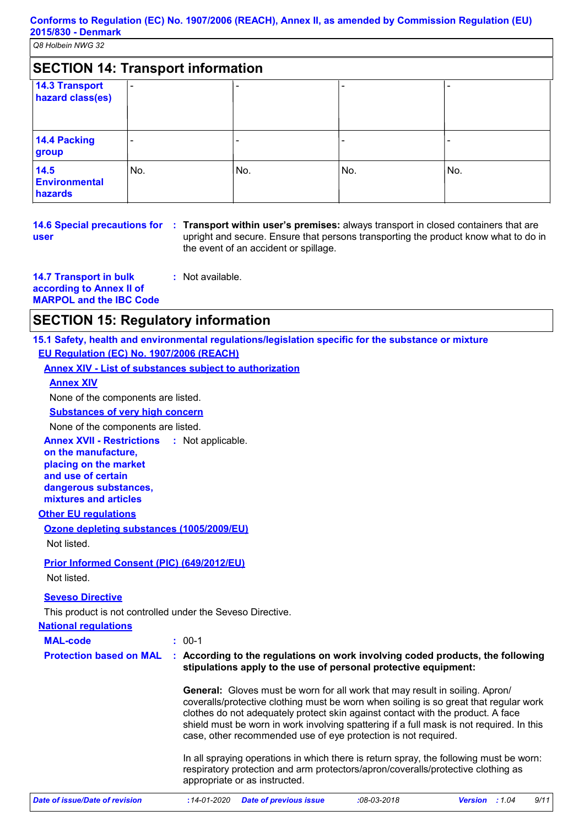| <b>SECTION 14: Transport information</b>  |                          |     |     |     |
|-------------------------------------------|--------------------------|-----|-----|-----|
| <b>14.3 Transport</b><br>hazard class(es) | $\overline{\phantom{0}}$ |     |     |     |
| 14.4 Packing<br>group                     |                          |     |     |     |
| 14.5<br><b>Environmental</b><br>hazards   | No.                      | No. | No. | No. |

# **user**

**14.6 Special precautions for Transport within user's premises:** always transport in closed containers that are **:** upright and secure. Ensure that persons transporting the product know what to do in the event of an accident or spillage.

**14.7 Transport in bulk according to Annex II of MARPOL and the IBC Code :** Not available.

### **SECTION 15: Regulatory information**

**15.1 Safety, health and environmental regulations/legislation specific for the substance or mixture EU Regulation (EC) No. 1907/2006 (REACH)**

**Annex XIV - List of substances subject to authorization**

### **Annex XIV**

None of the components are listed.

**Substances of very high concern**

None of the components are listed.

**Annex XVII - Restrictions** : Not applicable.

**on the manufacture, placing on the market and use of certain dangerous substances, mixtures and articles**

### **Other EU regulations**

**Ozone depleting substances (1005/2009/EU)** Not listed.

### **Prior Informed Consent (PIC) (649/2012/EU)**

Not listed.

### **Seveso Directive**

This product is not controlled under the Seveso Directive.

### **National regulations**

**MAL-code :** 00-1

**Protection based on MAL : According to the regulations on work involving coded products, the following stipulations apply to the use of personal protective equipment:**

> **General:** Gloves must be worn for all work that may result in soiling. Apron/ coveralls/protective clothing must be worn when soiling is so great that regular work clothes do not adequately protect skin against contact with the product. A face shield must be worn in work involving spattering if a full mask is not required. In this case, other recommended use of eye protection is not required.

> In all spraying operations in which there is return spray, the following must be worn: respiratory protection and arm protectors/apron/coveralls/protective clothing as appropriate or as instructed.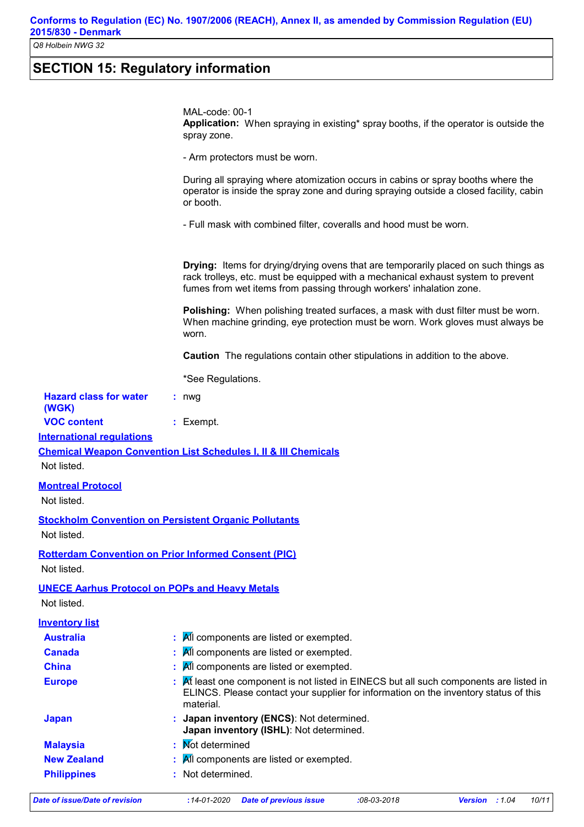**Conforms to Regulation (EC) No. 1907/2006 (REACH), Annex II, as amended by Commission Regulation (EU) 2015/830 - Denmark**

*Q8 Holbein NWG 32*

# **SECTION 15: Regulatory information**

|                                                                      | MAL-code: 00-1<br>Application: When spraying in existing* spray booths, if the operator is outside the<br>spray zone.                                                                                                                                 |
|----------------------------------------------------------------------|-------------------------------------------------------------------------------------------------------------------------------------------------------------------------------------------------------------------------------------------------------|
|                                                                      | - Arm protectors must be worn.                                                                                                                                                                                                                        |
|                                                                      | During all spraying where atomization occurs in cabins or spray booths where the<br>operator is inside the spray zone and during spraying outside a closed facility, cabin<br>or booth.                                                               |
|                                                                      | - Full mask with combined filter, coveralls and hood must be worn.                                                                                                                                                                                    |
|                                                                      | <b>Drying:</b> Items for drying/drying ovens that are temporarily placed on such things as<br>rack trolleys, etc. must be equipped with a mechanical exhaust system to prevent<br>fumes from wet items from passing through workers' inhalation zone. |
|                                                                      | <b>Polishing:</b> When polishing treated surfaces, a mask with dust filter must be worn.<br>When machine grinding, eye protection must be worn. Work gloves must always be<br>worn.                                                                   |
|                                                                      | <b>Caution</b> The regulations contain other stipulations in addition to the above.                                                                                                                                                                   |
|                                                                      | *See Regulations.                                                                                                                                                                                                                                     |
| <b>Hazard class for water</b>                                        | $: nwq$                                                                                                                                                                                                                                               |
| (WGK)                                                                |                                                                                                                                                                                                                                                       |
| <b>VOC content</b>                                                   | : Exempt.                                                                                                                                                                                                                                             |
| <b>International requlations</b>                                     |                                                                                                                                                                                                                                                       |
| Not listed.                                                          | <b>Chemical Weapon Convention List Schedules I, II &amp; III Chemicals</b>                                                                                                                                                                            |
|                                                                      |                                                                                                                                                                                                                                                       |
| <b>Montreal Protocol</b><br>Not listed.                              |                                                                                                                                                                                                                                                       |
| Not listed.                                                          | <b>Stockholm Convention on Persistent Organic Pollutants</b>                                                                                                                                                                                          |
| Not listed.                                                          | <b>Rotterdam Convention on Prior Informed Consent (PIC)</b>                                                                                                                                                                                           |
| <b>UNECE Aarhus Protocol on POPs and Heavy Metals</b><br>Not listed. |                                                                                                                                                                                                                                                       |
| <b>Inventory list</b>                                                |                                                                                                                                                                                                                                                       |
| <b>Australia</b>                                                     | All components are listed or exempted.                                                                                                                                                                                                                |
| <b>Canada</b>                                                        | All components are listed or exempted.                                                                                                                                                                                                                |
| <b>China</b>                                                         | All components are listed or exempted.                                                                                                                                                                                                                |
| <b>Europe</b>                                                        | At least one component is not listed in EINECS but all such components are listed in<br>ELINCS. Please contact your supplier for information on the inventory status of this<br>material.                                                             |
| <b>Japan</b>                                                         | Japan inventory (ENCS): Not determined.<br>Japan inventory (ISHL): Not determined.                                                                                                                                                                    |
| <b>Malaysia</b>                                                      | <b>Not determined</b>                                                                                                                                                                                                                                 |
| <b>New Zealand</b>                                                   | All components are listed or exempted.                                                                                                                                                                                                                |
| <b>Philippines</b>                                                   | : Not determined.                                                                                                                                                                                                                                     |
| <b>Date of issue/Date of revision</b>                                | <b>Date of previous issue</b><br>$:14 - 01 - 2020$<br>$:08 - 03 - 2018$<br>Version : 1.04<br>10/11                                                                                                                                                    |